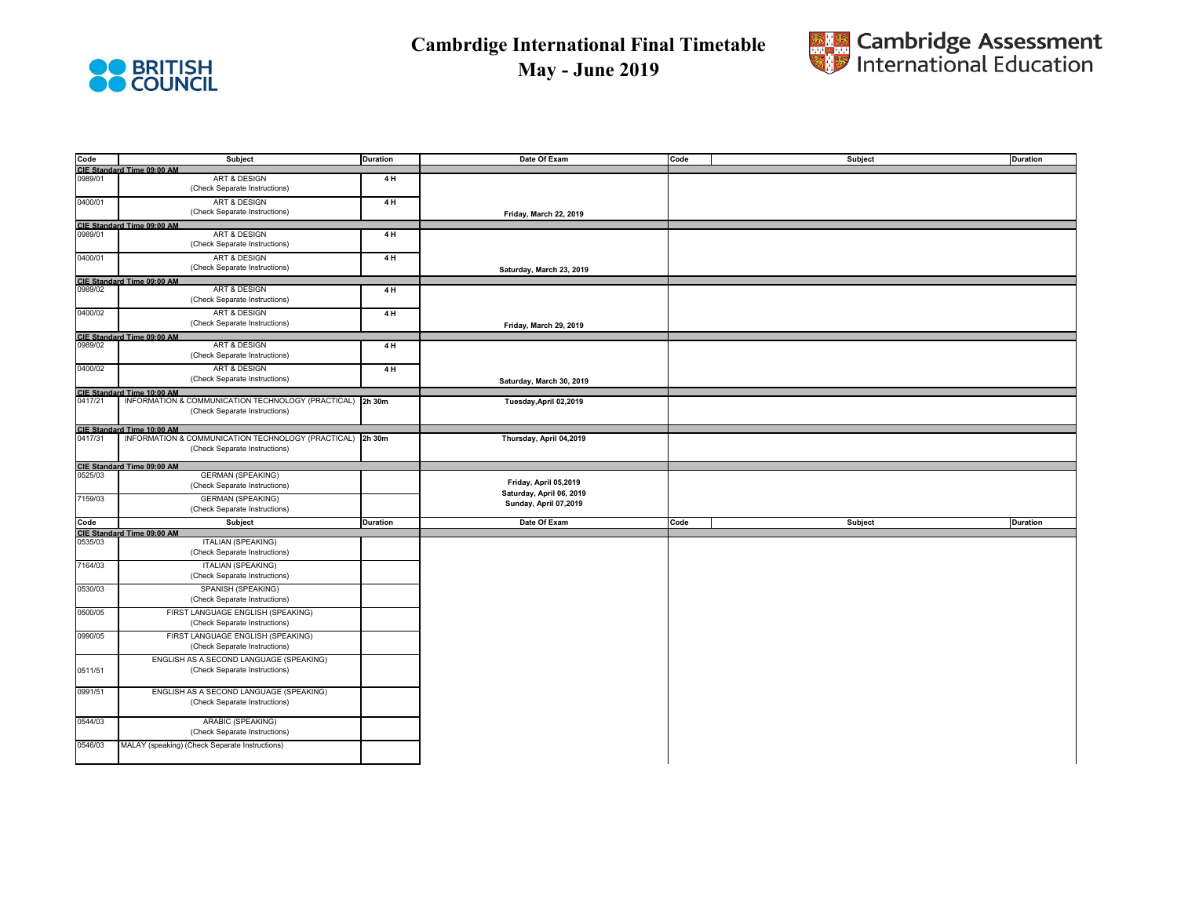



| Code               | Subject                                                                                 | <b>Duration</b> | Date Of Exam             | Code | Subject | <b>Duration</b> |
|--------------------|-----------------------------------------------------------------------------------------|-----------------|--------------------------|------|---------|-----------------|
|                    | <b>CIE Standard Time 09:00 AM</b>                                                       |                 |                          |      |         |                 |
| 0989/01            | <b>ART &amp; DESIGN</b>                                                                 | 4H              |                          |      |         |                 |
|                    | (Check Separate Instructions)                                                           |                 |                          |      |         |                 |
| 0400/01            | <b>ART &amp; DESIGN</b>                                                                 | 4H              |                          |      |         |                 |
|                    | (Check Separate Instructions)                                                           |                 |                          |      |         |                 |
|                    |                                                                                         |                 | Friday, March 22, 2019   |      |         |                 |
|                    | <b>CIE Standard Time 09:00 AM</b>                                                       |                 |                          |      |         |                 |
| 0989/01            | ART & DESIGN                                                                            | 4H              |                          |      |         |                 |
|                    | (Check Separate Instructions)                                                           |                 |                          |      |         |                 |
| 0400/01            | <b>ART &amp; DESIGN</b>                                                                 | 4H              |                          |      |         |                 |
|                    | (Check Separate Instructions)                                                           |                 | Saturday, March 23, 2019 |      |         |                 |
|                    | <b>CIE Standard Time 09:00 AM</b>                                                       |                 |                          |      |         |                 |
| 0989/02            | ART & DESIGN                                                                            | 4H              |                          |      |         |                 |
|                    | (Check Separate Instructions)                                                           |                 |                          |      |         |                 |
|                    |                                                                                         |                 |                          |      |         |                 |
| 0400/02            | <b>ART &amp; DESIGN</b>                                                                 | 4H              |                          |      |         |                 |
|                    | (Check Separate Instructions)                                                           |                 | Friday, March 29, 2019   |      |         |                 |
|                    | CIE Standard Time 09:00 AM                                                              |                 |                          |      |         |                 |
| 0989/02            | <b>ART &amp; DESIGN</b>                                                                 | 4H              |                          |      |         |                 |
|                    | (Check Separate Instructions)                                                           |                 |                          |      |         |                 |
| 0400/02            | ART & DESIGN                                                                            | 4H              |                          |      |         |                 |
|                    | (Check Separate Instructions)                                                           |                 |                          |      |         |                 |
|                    |                                                                                         |                 | Saturday, March 30, 2019 |      |         |                 |
|                    | CIE Standard Time 10:00 AM<br>INFORMATION & COMMUNICATION TECHNOLOGY (PRACTICAL) 2h 30m |                 |                          |      |         |                 |
| 0417/21            |                                                                                         |                 | Tuesday, April 02, 2019  |      |         |                 |
|                    | (Check Separate Instructions)                                                           |                 |                          |      |         |                 |
|                    | <b>CIE Standard Time 10:00 AM</b>                                                       |                 |                          |      |         |                 |
| 0417/31            | INFORMATION & COMMUNICATION TECHNOLOGY (PRACTICAL) 2h 30m                               |                 | Thursday, April 04,2019  |      |         |                 |
|                    | (Check Separate Instructions)                                                           |                 |                          |      |         |                 |
|                    |                                                                                         |                 |                          |      |         |                 |
|                    |                                                                                         |                 |                          |      |         |                 |
|                    |                                                                                         |                 |                          |      |         |                 |
| 0525/03            | <b>CIE Standard Time 09:00 AM</b><br><b>GERMAN (SPEAKING)</b>                           |                 |                          |      |         |                 |
|                    | (Check Separate Instructions)                                                           |                 | Friday, April 05,2019    |      |         |                 |
|                    |                                                                                         |                 | Saturday, April 06, 2019 |      |         |                 |
| 7159/03            | <b>GERMAN (SPEAKING)</b>                                                                |                 | Sunday, April 07,2019    |      |         |                 |
|                    | (Check Separate Instructions)                                                           |                 |                          |      |         |                 |
| Code               | Subject                                                                                 | <b>Duration</b> | Date Of Exam             | Code | Subject | <b>Duration</b> |
|                    | CIE Standard Time 09:00 AM                                                              |                 |                          |      |         |                 |
| 0535/03            | <b>ITALIAN (SPEAKING)</b>                                                               |                 |                          |      |         |                 |
|                    | (Check Separate Instructions)                                                           |                 |                          |      |         |                 |
| 7164/03            | <b>ITALIAN (SPEAKING)</b>                                                               |                 |                          |      |         |                 |
|                    | (Check Separate Instructions)                                                           |                 |                          |      |         |                 |
|                    |                                                                                         |                 |                          |      |         |                 |
| 0530/03            | SPANISH (SPEAKING)                                                                      |                 |                          |      |         |                 |
|                    | (Check Separate Instructions)                                                           |                 |                          |      |         |                 |
| 0500/05            | FIRST LANGUAGE ENGLISH (SPEAKING)                                                       |                 |                          |      |         |                 |
|                    | (Check Separate Instructions)                                                           |                 |                          |      |         |                 |
|                    |                                                                                         |                 |                          |      |         |                 |
| 0990/05            | FIRST LANGUAGE ENGLISH (SPEAKING)                                                       |                 |                          |      |         |                 |
|                    | (Check Separate Instructions)                                                           |                 |                          |      |         |                 |
|                    | ENGLISH AS A SECOND LANGUAGE (SPEAKING)                                                 |                 |                          |      |         |                 |
| 0511/51            | (Check Separate Instructions)                                                           |                 |                          |      |         |                 |
|                    |                                                                                         |                 |                          |      |         |                 |
|                    | ENGLISH AS A SECOND LANGUAGE (SPEAKING)                                                 |                 |                          |      |         |                 |
|                    | (Check Separate Instructions)                                                           |                 |                          |      |         |                 |
|                    |                                                                                         |                 |                          |      |         |                 |
| 0991/51<br>0544/03 | ARABIC (SPEAKING)                                                                       |                 |                          |      |         |                 |
|                    | (Check Separate Instructions)                                                           |                 |                          |      |         |                 |
|                    |                                                                                         |                 |                          |      |         |                 |
| 0546/03            | MALAY (speaking) (Check Separate Instructions)                                          |                 |                          |      |         |                 |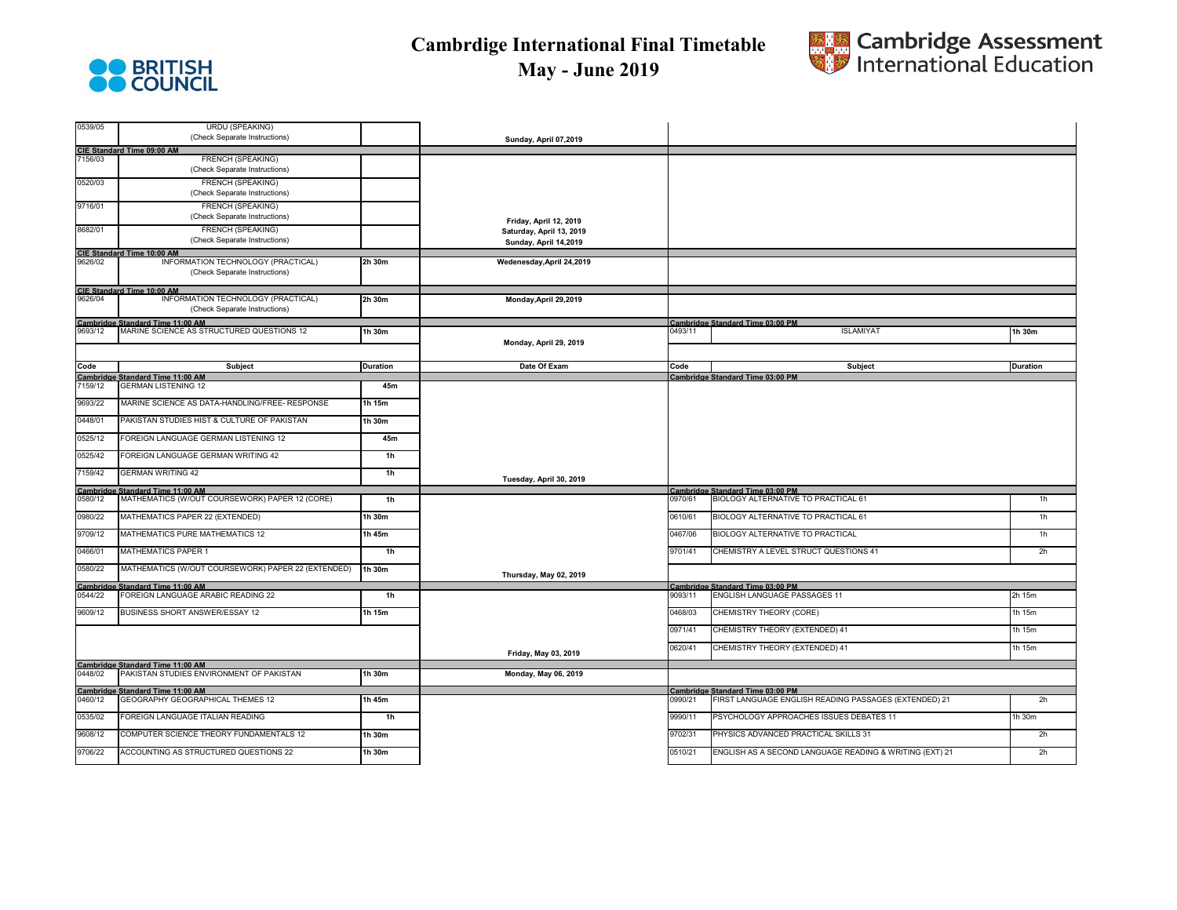



| 0539/05 | <b>URDU (SPEAKING)</b><br>(Check Separate Instructions)                                                       |                 |                            |         |                                                                  |                 |
|---------|---------------------------------------------------------------------------------------------------------------|-----------------|----------------------------|---------|------------------------------------------------------------------|-----------------|
|         |                                                                                                               |                 | Sunday, April 07,2019      |         |                                                                  |                 |
|         | CIE Standard Time 09:00 AM<br>FRENCH (SPEAKING)                                                               |                 |                            |         |                                                                  |                 |
|         | (Check Separate Instructions)                                                                                 |                 |                            |         |                                                                  |                 |
| 0520/03 | <b>FRENCH (SPEAKING)</b><br>(Check Separate Instructions)                                                     |                 |                            |         |                                                                  |                 |
| 9716/01 | <b>FRENCH (SPEAKING)</b><br>(Check Separate Instructions)                                                     |                 | Friday, April 12, 2019     |         |                                                                  |                 |
| 8682/01 | FRENCH (SPEAKING)                                                                                             |                 | Saturday, April 13, 2019   |         |                                                                  |                 |
|         | (Check Separate Instructions)                                                                                 |                 | Sunday, April 14,2019      |         |                                                                  |                 |
|         | CIE Standard Time 10:00 AM<br>9626/02 INFO                                                                    |                 |                            |         |                                                                  |                 |
|         | INFORMATION TECHNOLOGY (PRACTICAL)<br>(Check Separate Instructions)                                           | 2h 30m          | Wedenesday, April 24, 2019 |         |                                                                  |                 |
|         | CIE Standard Time 10:00 AM<br>9626/04 INFOI                                                                   |                 |                            |         |                                                                  |                 |
|         | INFORMATION TECHNOLOGY (PRACTICAL)                                                                            | 2h 30m          | Monday, April 29, 2019     |         |                                                                  |                 |
|         | (Check Separate Instructions)                                                                                 |                 |                            |         |                                                                  |                 |
|         | Cambridge Standard Time 11:00 AM<br>9693/12 MARINE SCIENCE AS ST<br>MARINE SCIENCE AS STRUCTURED QUESTIONS 12 | 1h 30m          |                            | 0493/11 | Cambridge Standard Time 03:00 PM<br><b>ISLAMIYAT</b>             | 1h 30m          |
|         |                                                                                                               |                 | Monday, April 29, 2019     |         |                                                                  |                 |
|         |                                                                                                               |                 |                            |         |                                                                  |                 |
| Code    | <b>Subject</b>                                                                                                | <b>Duration</b> | Date Of Exam               | Code    | Subject                                                          | <b>Duration</b> |
|         | Cambridge Standard Time 11:00 AM<br>7159/12 GERMAN LISTENING 12                                               |                 |                            |         | <b>Cambridge Standard Time 03:00 PM</b>                          |                 |
|         | <b>GERMAN LISTENING 12</b>                                                                                    | 45m             |                            |         |                                                                  |                 |
| 9693/22 | MARINE SCIENCE AS DATA-HANDLING/FREE- RESPONSE                                                                | 1h 15m          |                            |         |                                                                  |                 |
| 0448/01 | PAKISTAN STUDIES HIST & CULTURE OF PAKISTAN                                                                   | 1h 30m          |                            |         |                                                                  |                 |
| 0525/12 | FOREIGN LANGUAGE GERMAN LISTENING 12                                                                          | 45m             |                            |         |                                                                  |                 |
| 0525/42 | FOREIGN LANGUAGE GERMAN WRITING 42                                                                            | 1h              |                            |         |                                                                  |                 |
| 7159/42 | <b>GERMAN WRITING 42</b>                                                                                      | 1 <sub>h</sub>  | Tuesday, April 30, 2019    |         |                                                                  |                 |
| 0580/12 | <b>Cambridge Standard Time 11:00 AM</b>                                                                       | 1 <sub>h</sub>  |                            | 0970/61 | Cambridge Standard Time 03:00 PM                                 | 1h              |
|         | MATHEMATICS (W/OUT COURSEWORK) PAPER 12 (CORE)                                                                |                 |                            |         | BIOLOGY ALTERNATIVE TO PRACTICAL 61                              |                 |
| 0980/22 | MATHEMATICS PAPER 22 (EXTENDED)                                                                               | 1h 30m          |                            | 0610/61 | BIOLOGY ALTERNATIVE TO PRACTICAL 61                              | 1h              |
| 9709/12 | MATHEMATICS PURE MATHEMATICS 12                                                                               | 1h 45m          |                            | 0467/06 | BIOLOGY ALTERNATIVE TO PRACTICAL                                 | 1h              |
| 0466/01 | <b>MATHEMATICS PAPER 1</b>                                                                                    | 1 <sub>h</sub>  |                            | 9701/41 | CHEMISTRY A LEVEL STRUCT QUESTIONS 41                            | 2h              |
| 0580/22 | MATHEMATICS (W/OUT COURSEWORK) PAPER 22 (EXTENDED)                                                            | 1h 30m          | Thursday, May 02, 2019     |         |                                                                  |                 |
| 0544/22 | Cambridge Standard Time 11:00 AM<br>FOREIGN LANGUAGE ARABIC READING 22                                        | 1h              |                            | 9093/11 | Cambridge Standard Time 03:00 PM<br>ENGLISH LANGUAGE PASSAGES 11 | 2h 15m          |
| 9609/12 | BUSINESS SHORT ANSWER/ESSAY 12                                                                                | 1h 15m          |                            | 0468/03 | CHEMISTRY THEORY (CORE)                                          | 1h 15m          |
|         |                                                                                                               |                 |                            |         |                                                                  |                 |
|         |                                                                                                               |                 |                            | 0971/41 | CHEMISTRY THEORY (EXTENDED) 41                                   | 1h 15m          |
|         |                                                                                                               |                 | Friday, May 03, 2019       | 0620/41 | CHEMISTRY THEORY (EXTENDED) 41                                   | 1h 15m          |
|         | Cambridge Standard Time 11:00 AM<br>0448/02 PAKISTAN STUDIES ENV<br>PAKISTAN STUDIES ENVIRONMENT OF PAKISTAN  | 1h 30m          |                            |         |                                                                  |                 |
|         |                                                                                                               |                 | Monday, May 06, 2019       |         |                                                                  |                 |
|         | <b>Cambridge Standard Time 11:00 AM</b>                                                                       |                 |                            |         | Cambridge Standard Time 03:00 PM                                 |                 |
| 0460/12 | GEOGRAPHY GEOGRAPHICAL THEMES 12                                                                              | 1h 45m          |                            | 0990/21 | FIRST LANGUAGE ENGLISH READING PASSAGES (EXTENDED) 21            | 2h              |
| 0535/02 | FOREIGN LANGUAGE ITALIAN READING                                                                              | 1h              |                            | 9990/11 | PSYCHOLOGY APPROACHES ISSUES DEBATES 11                          | 1h 30m          |
| 9608/12 | COMPUTER SCIENCE THEORY FUNDAMENTALS 12                                                                       | 1h 30m          |                            | 9702/31 | PHYSICS ADVANCED PRACTICAL SKILLS 31                             | 2h              |
| 9706/22 | ACCOUNTING AS STRUCTURED QUESTIONS 22                                                                         | 1h 30m          |                            | 0510/21 | ENGLISH AS A SECOND LANGUAGE READING & WRITING (EXT) 21          | 2h              |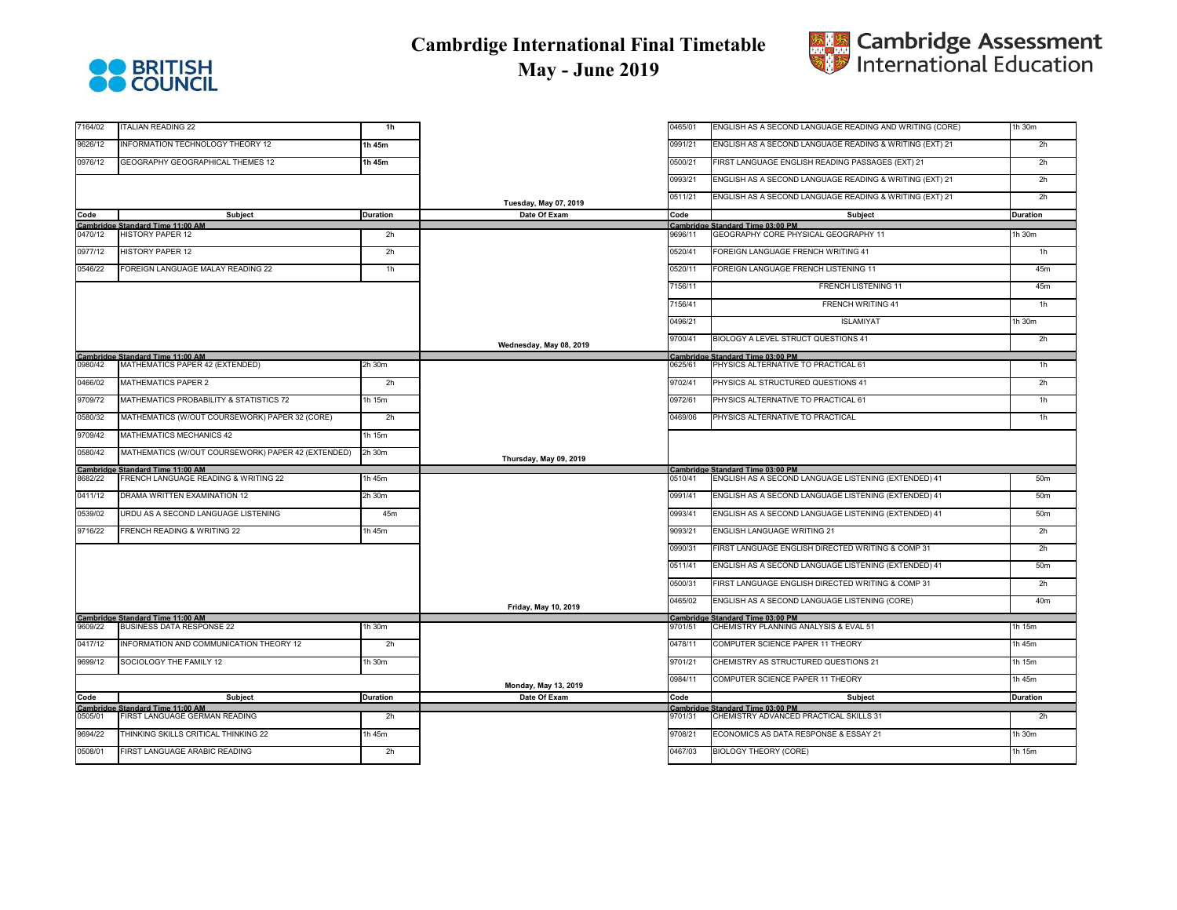



| 7164/02 | <b>ITALIAN READING 22</b>                                                                           | 1 <sub>h</sub>  |                              | 0465/01 | ENGLISH AS A SECOND LANGUAGE READING AND WRITING (CORE) | 1h 30m          |
|---------|-----------------------------------------------------------------------------------------------------|-----------------|------------------------------|---------|---------------------------------------------------------|-----------------|
| 9626/12 | INFORMATION TECHNOLOGY THEORY 12                                                                    | 1h 45m          |                              | 0991/21 | ENGLISH AS A SECOND LANGUAGE READING & WRITING (EXT) 21 | 2h              |
| 0976/12 | GEOGRAPHY GEOGRAPHICAL THEMES 12                                                                    | 1h 45m          |                              | 0500/21 | FIRST LANGUAGE ENGLISH READING PASSAGES (EXT) 21        | 2h              |
|         |                                                                                                     |                 |                              | 0993/21 | ENGLISH AS A SECOND LANGUAGE READING & WRITING (EXT) 21 | 2h              |
|         |                                                                                                     |                 | <b>Tuesday, May 07, 2019</b> | 0511/21 | ENGLISH AS A SECOND LANGUAGE READING & WRITING (EXT) 21 | 2h              |
| Code    | <b>Subject</b>                                                                                      | <b>Duration</b> | Date Of Exam                 | Code    | <b>Subject</b>                                          | <b>Duration</b> |
|         | <b>Cambridge Standard Time 11:00 AM</b>                                                             |                 |                              |         | Cambridge Standard Time 03:00 PM                        |                 |
| 0470/12 | <b>HISTORY PAPER 12</b>                                                                             | 2h              |                              | 9696/11 | GEOGRAPHY CORE PHYSICAL GEOGRAPHY 11                    | 1h 30m          |
| 0977/12 | <b>HISTORY PAPER 12</b>                                                                             | 2h              |                              | 0520/41 | FOREIGN LANGUAGE FRENCH WRITING 41                      | 1h              |
| 0546/22 | FOREIGN LANGUAGE MALAY READING 22                                                                   | 1h              |                              | 0520/11 | FOREIGN LANGUAGE FRENCH LISTENING 11                    | 45m             |
|         |                                                                                                     |                 |                              | 7156/11 | <b>FRENCH LISTENING 11</b>                              | 45m             |
|         |                                                                                                     |                 |                              | 7156/41 | <b>FRENCH WRITING 41</b>                                | 1h              |
|         |                                                                                                     |                 |                              | 0496/21 | <b>ISLAMIYAT</b>                                        | 1h 30m          |
|         |                                                                                                     |                 | Wednesday, May 08, 2019      | 9700/41 | BIOLOGY A LEVEL STRUCT QUESTIONS 41                     | 2h              |
|         | Cambridge Standard Time 11:00 AM<br>0980/42 MATHEMATICS PAPER 4                                     |                 |                              |         | Cambridge Standard Time 03:00 PM                        |                 |
|         | MATHEMATICS PAPER 42 (EXTENDED)                                                                     | 2h 30m          |                              | 0625/61 | PHYSICS ALTERNATIVE TO PRACTICAL 61                     | 1 <sub>h</sub>  |
| 0466/02 | MATHEMATICS PAPER 2                                                                                 | 2h              |                              | 9702/41 | PHYSICS AL STRUCTURED QUESTIONS 41                      | 2h              |
| 9709/72 | MATHEMATICS PROBABILITY & STATISTICS 72                                                             | 1h 15m          |                              | 0972/61 | PHYSICS ALTERNATIVE TO PRACTICAL 61                     | 1h              |
| 0580/32 | MATHEMATICS (W/OUT COURSEWORK) PAPER 32 (CORE)                                                      | 2h              |                              | 1469/06 | PHYSICS ALTERNATIVE TO PRACTICAL                        | 1 <sub>h</sub>  |
| 9709/42 | MATHEMATICS MECHANICS 42                                                                            | 1h 15m          |                              |         |                                                         |                 |
| 0580/42 | MATHEMATICS (W/OUT COURSEWORK) PAPER 42 (EXTENDED)                                                  | 2h 30m          | Thursday, May 09, 2019       |         |                                                         |                 |
|         | Cambridge Standard Time 11:00 AM<br>8682/22 FRENCH LANGUAGE RE                                      |                 |                              |         | Cambridge Standard Time 03:00 PM                        |                 |
|         | FRENCH LANGUAGE READING & WRITING 22                                                                | 1h 45m          |                              | 0510/41 | ENGLISH AS A SECOND LANGUAGE LISTENING (EXTENDED) 41    | 50m             |
| 0411/12 | DRAMA WRITTEN EXAMINATION 12                                                                        | 2h 30m          |                              | 0991/41 | ENGLISH AS A SECOND LANGUAGE LISTENING (EXTENDED) 41    | 50m             |
| 0539/02 | URDU AS A SECOND LANGUAGE LISTENING                                                                 | 45m             |                              | 0993/41 | ENGLISH AS A SECOND LANGUAGE LISTENING (EXTENDED) 41    | 50m             |
| 9716/22 | FRENCH READING & WRITING 22                                                                         | $1h$ 45 $m$     |                              | 9093/21 | ENGLISH LANGUAGE WRITING 21                             | 2h              |
|         |                                                                                                     |                 |                              | 0990/31 | FIRST LANGUAGE ENGLISH DIRECTED WRITING & COMP 31       | 2h              |
|         |                                                                                                     |                 |                              | 0511/41 | ENGLISH AS A SECOND LANGUAGE LISTENING (EXTENDED) 41    | 50m             |
|         |                                                                                                     |                 |                              | 0500/31 | FIRST LANGUAGE ENGLISH DIRECTED WRITING & COMP 31       | 2h              |
|         |                                                                                                     |                 | Friday, May 10, 2019         | 0465/02 | ENGLISH AS A SECOND LANGUAGE LISTENING (CORE)           | 40m             |
|         |                                                                                                     |                 |                              |         | Cambridge Standard Time 03:00 PM                        |                 |
|         | Cambridge Standard Time 11:00 AM<br>9609/22 BUSINESS DATA RESPO<br><b>BUSINESS DATA RESPONSE 22</b> | 1h 30m          |                              | 9701/51 | CHEMISTRY PLANNING ANALYSIS & EVAL 51                   | 1h 15m          |
| 0417/12 | INFORMATION AND COMMUNICATION THEORY 12                                                             | 2h              |                              | 0478/11 | COMPUTER SCIENCE PAPER 11 THEORY                        | 1h 45m          |
| 9699/12 | SOCIOLOGY THE FAMILY 12                                                                             | 1h 30m          |                              | 9701/21 | CHEMISTRY AS STRUCTURED QUESTIONS 21                    | 1h 15m          |
|         |                                                                                                     |                 | Monday, May 13, 2019         | 0984/11 | COMPUTER SCIENCE PAPER 11 THEORY                        | 1h 45m          |
| Code    | Subject                                                                                             | <b>Duration</b> | Date Of Exam                 | Code    | Subject                                                 | <b>Duration</b> |
|         | Cambridge Standard Time 11:00 AM                                                                    |                 |                              |         | Cambridge Standard Time 03:00 PM                        |                 |
| 0505/01 | FIRST LANGUAGE GERMAN READING                                                                       | 2h              |                              | 9701/31 | CHEMISTRY ADVANCED PRACTICAL SKILLS 31                  | 2h              |
| 9694/22 | THINKING SKILLS CRITICAL THINKING 22                                                                | $1h$ 45 $m$     |                              | 9708/21 | ECONOMICS AS DATA RESPONSE & ESSAY 21                   | 1h 30m          |
| 0508/01 | FIRST LANGUAGE ARABIC READING                                                                       | 2h              |                              | 0467/03 | <b>BIOLOGY THEORY (CORE)</b>                            | 1h 15m          |
|         |                                                                                                     |                 |                              |         |                                                         |                 |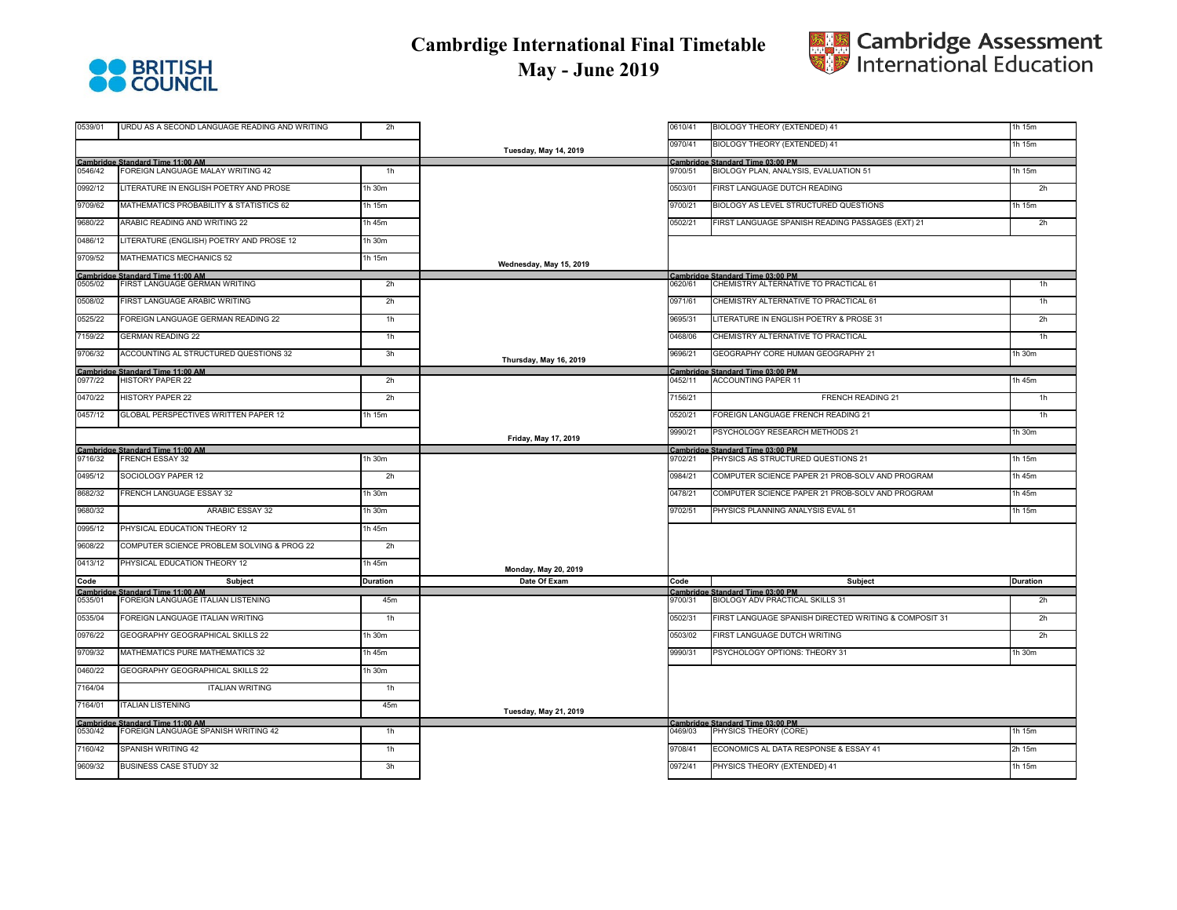



| 0539/01 | URDU AS A SECOND LANGUAGE READING AND WRITING                           | 2h              |                              | 0610/41 | BIOLOGY THEORY (EXTENDED) 41                              | 1h 15m          |
|---------|-------------------------------------------------------------------------|-----------------|------------------------------|---------|-----------------------------------------------------------|-----------------|
|         |                                                                         |                 | <b>Tuesday, May 14, 2019</b> | 0970/41 | BIOLOGY THEORY (EXTENDED) 41                              | 1h 15m          |
|         | Cambridge Standard Time 11:00 AM                                        |                 |                              |         | Cambridge Standard Time 03:00 PM                          |                 |
| 0546/42 | FOREIGN LANGUAGE MALAY WRITING 42                                       | 1 <sub>h</sub>  |                              | 9700/51 | BIOLOGY PLAN, ANALYSIS, EVALUATION 51                     | 1h 15m          |
| 0992/12 | LITERATURE IN ENGLISH POETRY AND PROSE                                  | 1h 30m          |                              | 0503/01 | FIRST LANGUAGE DUTCH READING                              | 2h              |
| 9709/62 | MATHEMATICS PROBABILITY & STATISTICS 62                                 | 1h 15m          |                              | 9700/21 | BIOLOGY AS LEVEL STRUCTURED QUESTIONS                     | 1h 15m          |
| 9680/22 | ARABIC READING AND WRITING 22                                           | 1h 45m          |                              | 0502/21 | FIRST LANGUAGE SPANISH READING PASSAGES (EXT) 21          | 2h              |
| 0486/12 | LITERATURE (ENGLISH) POETRY AND PROSE 12                                | 1h 30m          |                              |         |                                                           |                 |
| 9709/52 | MATHEMATICS MECHANICS 52                                                | 1h 15m          | Wednesday, May 15, 2019      |         |                                                           |                 |
|         | <b>Cambridge Standard Time 11:00 AM</b>                                 |                 |                              |         | Cambridge Standard Time 03:00 PM                          |                 |
| 0505/02 | FIRST LANGUAGE GERMAN WRITING                                           | 2h              |                              | 0620/61 | CHEMISTRY ALTERNATIVE TO PRACTICAL 61                     | 1h              |
| 0508/02 | FIRST LANGUAGE ARABIC WRITING                                           | 2h              |                              | 0971/61 | CHEMISTRY ALTERNATIVE TO PRACTICAL 61                     | 1 <sub>h</sub>  |
| 0525/22 | FOREIGN LANGUAGE GERMAN READING 22                                      | 1 <sub>h</sub>  |                              | 9695/31 | LITERATURE IN ENGLISH POETRY & PROSE 31                   | 2h              |
| 7159/22 | <b>GERMAN READING 22</b>                                                | 1h              |                              | 0468/06 | CHEMISTRY ALTERNATIVE TO PRACTICAL                        | 1 <sub>h</sub>  |
| 9706/32 | ACCOUNTING AL STRUCTURED QUESTIONS 32                                   | 3h              | Thursday, May 16, 2019       | 9696/21 | GEOGRAPHY CORE HUMAN GEOGRAPHY 21                         | $1h$ 30 $m$     |
|         | Cambridge Standard Time 11:00 AM                                        |                 |                              |         | Cambridge Standard Time 03:00 PM                          |                 |
| 0977/22 | <b>HISTORY PAPER 22</b>                                                 | 2h              |                              | 0452/11 | ACCOUNTING PAPER 11                                       | 1h 45m          |
| 0470/22 | HISTORY PAPER 22                                                        | 2h              |                              | 7156/21 | <b>FRENCH READING 21</b>                                  | 1 <sub>h</sub>  |
| 0457/12 | GLOBAL PERSPECTIVES WRITTEN PAPER 12                                    | 1h 15m          |                              | 0520/21 | FOREIGN LANGUAGE FRENCH READING 21                        | 1h              |
|         |                                                                         |                 | Friday, May 17, 2019         | 9990/21 | PSYCHOLOGY RESEARCH METHODS 21                            | 1h 30m          |
|         | Cambridge Standard Time 11:00 AM                                        |                 |                              |         | Cambridge Standard Time 03:00 PM                          |                 |
| 9716/32 | FRENCH ESSAY 32                                                         | 1h 30m          |                              | 9702/21 | PHYSICS AS STRUCTURED QUESTIONS 21                        | 1h 15m          |
| 0495/12 | SOCIOLOGY PAPER 12                                                      | 2h              |                              | 0984/21 | COMPUTER SCIENCE PAPER 21 PROB-SOLV AND PROGRAM           | 1h 45m          |
| 8682/32 | FRENCH LANGUAGE ESSAY 32                                                | 1h 30m          |                              | 0478/21 | COMPUTER SCIENCE PAPER 21 PROB-SOLV AND PROGRAM           | 1h 45m          |
| 9680/32 | ARABIC ESSAY 32                                                         | 1h 30m          |                              | 9702/51 | PHYSICS PLANNING ANALYSIS EVAL 51                         | 1h 15m          |
| 0995/12 | PHYSICAL EDUCATION THEORY 12                                            | $1h$ 45m        |                              |         |                                                           |                 |
| 9608/22 | COMPUTER SCIENCE PROBLEM SOLVING & PROG 22                              | 2h              |                              |         |                                                           |                 |
| 0413/12 | PHYSICAL EDUCATION THEORY 12                                            | 1h 45m          |                              |         |                                                           |                 |
|         |                                                                         |                 | Monday, May 20, 2019         |         |                                                           |                 |
| Code    | <b>Subject</b>                                                          | <b>Duration</b> | Date Of Exam                 | Code    | Subject                                                   | <b>Duration</b> |
|         | Cambridge Standard Time 11:00 AM                                        |                 |                              |         | Cambridge Standard Time 03:00 PM                          |                 |
| 0535/01 | FOREIGN LANGUAGE ITALIAN LISTENING                                      | 45m             |                              | 9700/31 | BIOLOGY ADV PRACTICAL SKILLS 31                           | 2h              |
| 0535/04 | FOREIGN LANGUAGE ITALIAN WRITING                                        | 1h              |                              | 0502/31 | FIRST LANGUAGE SPANISH DIRECTED WRITING & COMPOSIT 31     | 2h              |
| 0976/22 | GEOGRAPHY GEOGRAPHICAL SKILLS 22                                        | 1h 30m          |                              | 0503/02 | FIRST LANGUAGE DUTCH WRITING                              | 2h              |
| 9709/32 | MATHEMATICS PURE MATHEMATICS 32                                         | 1h 45m          |                              | 9990/31 | PSYCHOLOGY OPTIONS: THEORY 31                             | 1h 30m          |
| 0460/22 | GEOGRAPHY GEOGRAPHICAL SKILLS 22                                        | 1h 30m          |                              |         |                                                           |                 |
| 7164/04 | <b>ITALIAN WRITING</b>                                                  | 1h              |                              |         |                                                           |                 |
| 7164/01 | <b>TALIAN LISTENING</b>                                                 | 45m             | <b>Tuesday, May 21, 2019</b> |         |                                                           |                 |
| 0530/42 | Cambridge Standard Time 11:00 AM<br>FOREIGN LANGUAGE SPANISH WRITING 42 | 1h              |                              | 0469/03 | Cambridge Standard Time 03:00 PM<br>PHYSICS THEORY (CORE) | 1h 15m          |
|         |                                                                         |                 |                              |         |                                                           |                 |
| 7160/42 | SPANISH WRITING 42                                                      | 1 <sub>h</sub>  |                              | 9708/41 | ECONOMICS AL DATA RESPONSE & ESSAY 41                     | 2h 15m          |
| 9609/32 | <b>BUSINESS CASE STUDY 32</b>                                           | 3h              |                              | 0972/41 | PHYSICS THEORY (EXTENDED) 41                              | 1h 15m          |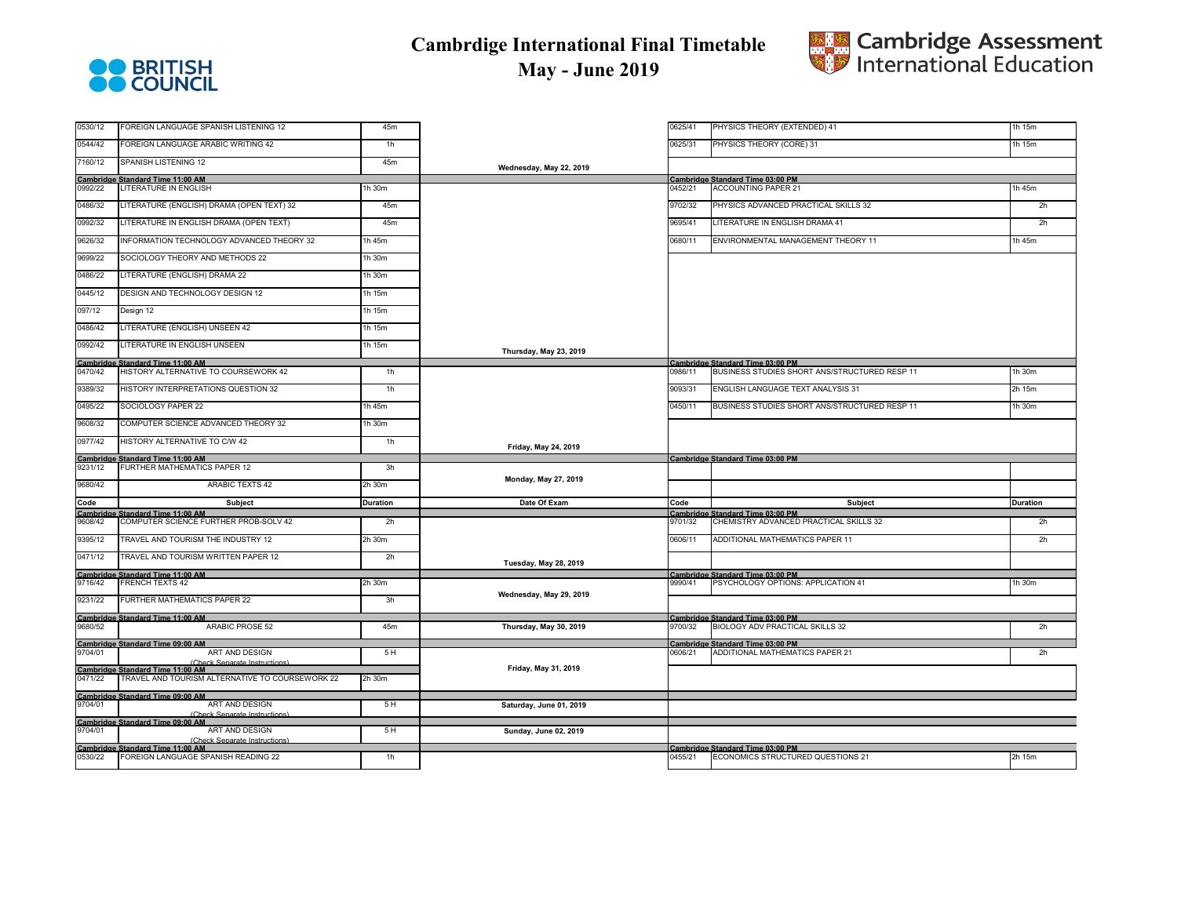



0530/12 FOREIGN LANGUAGE SPANISH LISTENING 12 45m 0625/41 1h 15m 0625/31 **POREIGN LANGUAGE ARABIC WRITING 42** 1h 15m 7160/12 SPANISH LISTENING 12 45m 0992/22 LITERATURE IN ENGLISH 1h 30m 0452/21 1h 45m 0486/32 LITERATURE (ENGLISH) DRAMA (OPEN TEXT) 32 **ASm 2 45m 9702/32 2https://www.astronomia.com/201** 2https://www.astronomia.com/2012/2012 2https://www.astronomia.com/2013/2012 2https://www.astronomia.com/2013/2013/2013/2 0992/32 LITERATURE IN ENGLISH DRAMA (OPEN TEXT) 45m 9695/41 2h 9626/32 INFORMATION TECHNOLOGY ADVANCED THEORY 32 1h 45m 1 1h 45m 0680/11 1h 45m 0680/11 1h 45m 0680/11 1h 45m 0680/11 1h 45m 0680/11 1h 45m 0680/11 1h 45m 0680/11 1h 45m 0680/11 1h 45m 0680/11 1h 45m 0680/11 1h 45m 0680/1 9699/22 SOCIOLOGY THEORY AND METHODS 22 1h 30m 0486/22 LITERATURE (ENGLISH) DRAMA 22 1h 30m 0445/12 DESIGN AND TECHNOLOGY DESIGN 12 1h 15m 097/12 Design 12 1h 15m 0486/42 LITERATURE (ENGLISH) UNSEEN 42 1h 15m 0992/42 LITERATURE IN ENGLISH UNSEEN 16 15m 0470/42 HISTORY ALTERNATIVE TO COURSEWORK 42 1h 0986/11 1h 30m BUSINESS STUDIES SHORT ANS/STRUCTURED RESP 11 9389/32 HISTORY INTERPRETATIONS QUESTION 32 1h 1h 1 1h 9393/31 BNGLISH LANGUAGE TEXT ANALYSIS 31 2h 15m 9093/31 2h 15m 0495/22 SOCIOLOGY PAPER 22 1h 45m 0450/11 1h 30m BUSINESS STUDIES SHORT ANS/STRUCTURED RESP 11 9608/32 COMPUTER SCIENCE ADVANCED THEORY 32 1h 30m 0977/42 HISTORY ALTERNATIVE TO C/W 42 1h 9231/12 FURTHER MATHEMATICS PAPER 12 3h 9680/42 ARABIC TEXTS 42 2h 30m  $\blacksquare$  Subject Duration Duration Date Of Exam Code Subject Subject Duration 9608/42 COMPUTER SCIENCE FURTHER PROB-SOLV 42 2h 9701/32 2h 9395/12 TRAVEL AND TOURISM THE INDUSTRY 12 2h 30m 0606/11 2h 0471/12 TRAVEL AND TOURISM WRITTEN PAPER 12 2h 9716/42 FRENCH TEXTS 42 2h 30m 9990/41 1h 30m PSYCHOLOGY OPTIONS: APPLICATION 41 9231/22 FURTHER MATHEMATICS PAPER 22 3h 9680/52 ARABIC PROSE 52 45m **Thursday, May 30, 2019** 9700/32 2h BIOLOGY ADV PRACTICAL SKILLS 32 9704/01 ART AND DESIGN (Check Separate Instructions) 5 H 0606/21 2h ADDITIONAL MATHEMATICS PAPER 21 0471/22 TRAVEL AND TOURISM ALTERNATIVE TO COURSEWORK 22 2h 30n 9704/01 **ART AND DESIGN** (Check Separate Instructions) 5 H **Saturday, June 01, 2019** 9704/01 **ART AND DESIGN** (Check Separate Instructions) 5 H **Sunday, June 02, 2019** 0530/22 FOREIGN LANGUAGE SPANISH READING 22 1h 0455/21 2h 15m **Cambridge Standard Time 11:00 AM Cambridge Standard Time 03:00 PM** ECONOMICS STRUCTURED QUESTIONS 21 **Friday, May 31, 2019 Cambridge Standard Time 11:00 AM Cambridge Standard Time 09:00 AM Cambridge Standard Time 09:00 AM Cambridge Standard Time 11:00 AM Cambridge Standard Time 03:00 PM Wednesday, May 29, 2019** Cambridge Standard Time 11:00 AM<br>9680/52 ARABIC PROSE 52 ARABIC PROSE 52 45m Thursday, May 30, 2019 9700/32 BIOLOGY ADV PRACTIC/ **Cambridge Standard Time 09:00 AM Cambridge Standard Time 03:00 PM Cambridge Standard Time 11:00 AM Cambridge Standard Time 03:00 PM Monday, May 27, 2019 Subject Cambridge Standard Time 11:00 AM Cambridge Standard Time 03:00 PM Tuesday, May 28, 2019** CHEMISTRY ADVANCED PRACTICAL SKILLS 32 ADDITIONAL MATHEMATICS PAPER 11 **Thursday, May 23, 2019** ACCOUNTING PAPER 21 PHYSICS ADVANCED PRACTICAL SKILLS 32 LITERATURE IN ENGLISH DRAMA 41 ENVIRONMENTAL MANAGEMENT THEORY 11 **Cambridge Standard Time 11:00 AM Cambridge Standard Time 03:00 PM Friday, May 24, 2019** ENGLISH LANGUAGE TEXT ANALYSIS 31 **Wednesday, May 22, 2019** PHYSICS THEORY (EXTENDED) 41 PHYSICS THEORY (CORE) 31 **Cambridge Standard Time 11:00 AM Cambridge Standard Time 03:00 PM**